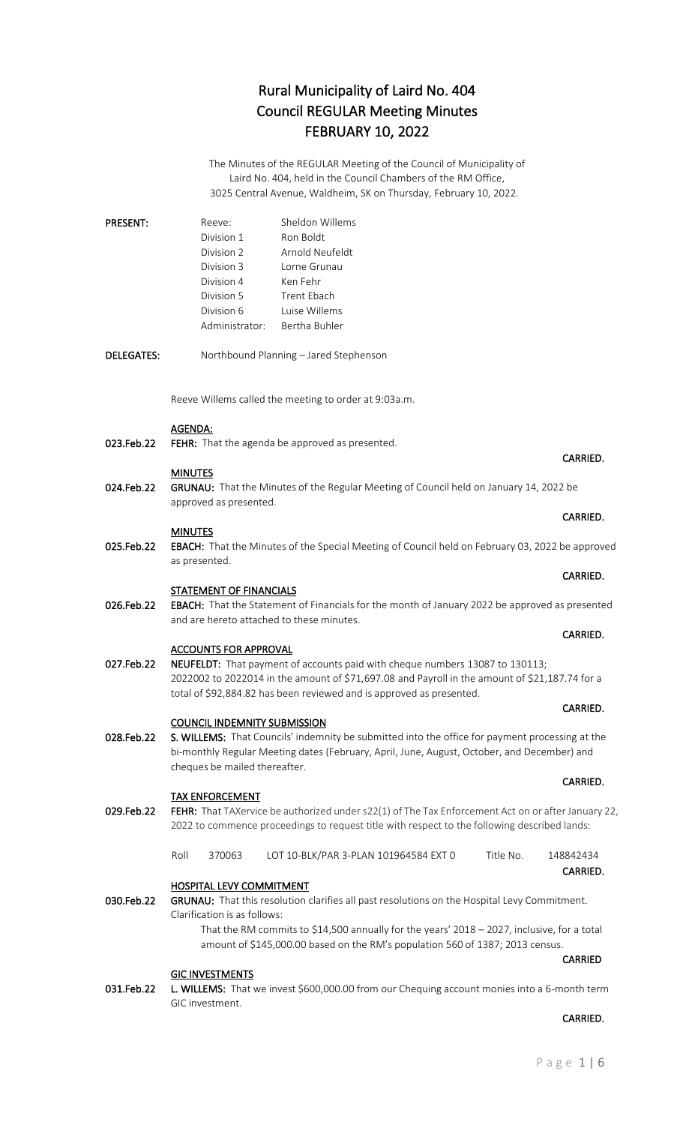The Minutes of the REGULAR Meeting of the Council of Municipality of Laird No. 404, held in the Council Chambers of the RM Office, 3025 Central Avenue, Waldheim, SK on Thursday, February 10, 2022.

| <b>PRESENT:</b>   | Sheldon Willems<br>Reeve:<br>Division 1<br>Ron Boldt<br>Arnold Neufeldt<br>Division 2<br>Division 3<br>Lorne Grunau<br>Division 4<br>Ken Fehr<br>Division 5<br><b>Trent Ebach</b><br>Luise Willems<br>Division 6<br>Administrator:<br>Bertha Buhler                                                                                             |                       |  |
|-------------------|-------------------------------------------------------------------------------------------------------------------------------------------------------------------------------------------------------------------------------------------------------------------------------------------------------------------------------------------------|-----------------------|--|
| <b>DELEGATES:</b> | Northbound Planning - Jared Stephenson                                                                                                                                                                                                                                                                                                          |                       |  |
|                   | Reeve Willems called the meeting to order at 9:03a.m.                                                                                                                                                                                                                                                                                           |                       |  |
| 023.Feb.22        | <b>AGENDA:</b><br>FEHR: That the agenda be approved as presented.                                                                                                                                                                                                                                                                               | CARRIED.              |  |
|                   | <b>MINUTES</b>                                                                                                                                                                                                                                                                                                                                  |                       |  |
| 024.Feb.22        | GRUNAU: That the Minutes of the Regular Meeting of Council held on January 14, 2022 be<br>approved as presented.                                                                                                                                                                                                                                |                       |  |
| 025.Feb.22        | CARRIED.<br><b>MINUTES</b><br>EBACH: That the Minutes of the Special Meeting of Council held on February 03, 2022 be approved                                                                                                                                                                                                                   |                       |  |
|                   | as presented.                                                                                                                                                                                                                                                                                                                                   | CARRIED.              |  |
| 026.Feb.22        | <b>STATEMENT OF FINANCIALS</b><br>EBACH: That the Statement of Financials for the month of January 2022 be approved as presented<br>and are hereto attached to these minutes.                                                                                                                                                                   |                       |  |
| 027.Feb.22        | CARRIED.<br><b>ACCOUNTS FOR APPROVAL</b><br>NEUFELDT: That payment of accounts paid with cheque numbers 13087 to 130113;<br>2022002 to 2022014 in the amount of \$71,697.08 and Payroll in the amount of \$21,187.74 for a<br>total of \$92,884.82 has been reviewed and is approved as presented.                                              |                       |  |
|                   |                                                                                                                                                                                                                                                                                                                                                 | CARRIED.              |  |
| 028.Feb.22        | <b>COUNCIL INDEMNITY SUBMISSION</b><br>S. WILLEMS: That Councils' indemnity be submitted into the office for payment processing at the<br>bi-monthly Regular Meeting dates (February, April, June, August, October, and December) and<br>cheques be mailed thereafter.                                                                          |                       |  |
|                   |                                                                                                                                                                                                                                                                                                                                                 | CARRIED.              |  |
| 029.Feb.22        | <b>TAX ENFORCEMENT</b><br>FEHR: That TAXervice be authorized under s22(1) of The Tax Enforcement Act on or after January 22,<br>2022 to commence proceedings to request title with respect to the following described lands:                                                                                                                    |                       |  |
|                   | Roll<br>370063<br>LOT 10-BLK/PAR 3-PLAN 101964584 EXT 0<br>Title No.                                                                                                                                                                                                                                                                            | 148842434<br>CARRIED. |  |
| 030.Feb.22        | <b>HOSPITAL LEVY COMMITMENT</b><br>GRUNAU: That this resolution clarifies all past resolutions on the Hospital Levy Commitment.<br>Clarification is as follows:<br>That the RM commits to \$14,500 annually for the years' 2018 - 2027, inclusive, for a total<br>amount of \$145,000.00 based on the RM's population 560 of 1387; 2013 census. | <b>CARRIED</b>        |  |

# **GIC INVESTMENTS**

031.Feb.22 L. WILLEMS: That we invest \$600,000.00 from our Chequing account monies into a 6-month term GIC investment.

## **CARRIED.** The contract of the contract of the contract of the contract of the contract of the contract of the contract of the contract of the contract of the contract of the contract of the contract of the contract of the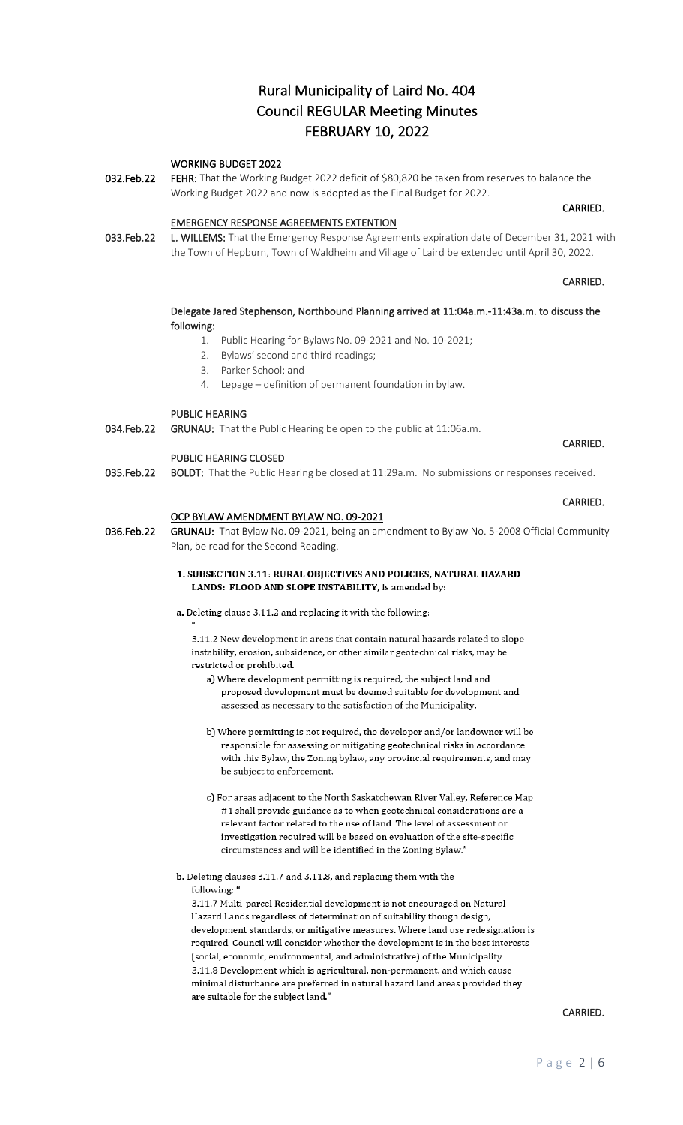## WORKING BUDGET 2022

032.Feb.22 FEHR: That the Working Budget 2022 deficit of \$80,820 be taken from reserves to balance the Working Budget 2022 and now is adopted as the Final Budget for 2022.

**CARRIED.** The contract of the contract of the contract of the contract of the contract of the contract of the contract of the contract of the contract of the contract of the contract of the contract of the contract of the

# EMERGENCY RESPONSE AGREEMENTS EXTENTION

033.Feb.22 L. WILLEMS: That the Emergency Response Agreements expiration date of December 31, 2021 with the Town of Hepburn, Town of Waldheim and Village of Laird be extended until April 30, 2022.

**CARRIED. CARRIED.** 

# Delegate Jared Stephenson, Northbound Planning arrived at 11:04a.m.-11:43a.m. to discuss the following:

- 1. Public Hearing for Bylaws No. 09-2021 and No. 10-2021;
- 2. Bylaws' second and third readings;
- 3. Parker School; and
- 4. Lepage definition of permanent foundation in bylaw.

#### PUBLIC HEARING

034.Feb.22 GRUNAU: That the Public Hearing be open to the public at 11:06a.m.

#### PUBLIC HEARING CLOSED

035.Feb.22 BOLDT: That the Public Hearing be closed at 11:29a.m. No submissions or responses received.

#### OCP BYLAW AMENDMENT BYLAW NO. 09-2021

036.Feb.22 GRUNAU: That Bylaw No. 09-2021, being an amendment to Bylaw No. 5-2008 Official Community Plan, be read for the Second Reading.

## 1. SUBSECTION 3.11: RURAL OBJECTIVES AND POLICIES, NATURAL HAZARD LANDS: FLOOD AND SLOPE INSTABILITY, is amended by:

a. Deleting clause 3.11.2 and replacing it with the following:

3.11.2 New development in areas that contain natural hazards related to slope instability, erosion, subsidence, or other similar geotechnical risks, may be restricted or prohibited.

a) Where development permitting is required, the subject land and proposed development must be deemed suitable for development and assessed as necessary to the satisfaction of the Municipality.

- b) Where permitting is not required, the developer and/or landowner will be responsible for assessing or mitigating geotechnical risks in accordance with this Bylaw, the Zoning bylaw, any provincial requirements, and may be subject to enforcement.
- c) For areas adjacent to the North Saskatchewan River Valley, Reference Map #4 shall provide guidance as to when geotechnical considerations are a relevant factor related to the use of land. The level of assessment or investigation required will be based on evaluation of the site-specific circumstances and will be identified in the Zoning Bylaw."
- b. Deleting clauses 3.11.7 and 3.11.8, and replacing them with the following: '

3.11.7 Multi-parcel Residential development is not encouraged on Natural Hazard Lands regardless of determination of suitability though design, development standards, or mitigative measures. Where land use redesignation is required, Council will consider whether the development is in the best interests (social, economic, environmental, and administrative) of the Municipality. 3.11.8 Development which is agricultural, non-permanent, and which cause minimal disturbance are preferred in natural hazard land areas provided they are suitable for the subject land."

## CARRIED.

# **CARRIED. CARRIED.**

# **CARRIED.** The contract of the contract of the contract of the contract of the contract of the contract of the contract of the contract of the contract of the contract of the contract of the contract of the contract of the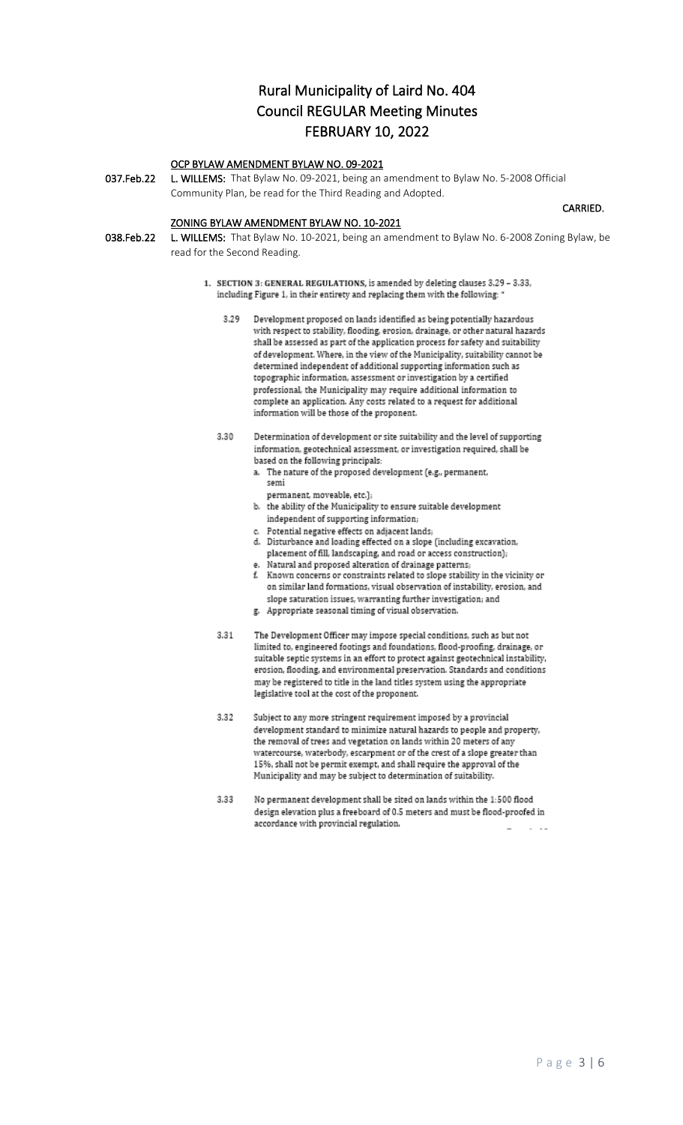# OCP BYLAW AMENDMENT BYLAW NO. 09-2021

037.Feb.22 L. WILLEMS: That Bylaw No. 09-2021, being an amendment to Bylaw No. 5-2008 Official Community Plan, be read for the Third Reading and Adopted.

# ZONING BYLAW AMENDMENT BYLAW NO. 10-2021

038.Feb.22 L. WILLEMS: That Bylaw No. 10-2021, being an amendment to Bylaw No. 6-2008 Zoning Bylaw, be read for the Second Reading.

**CARRIED.** The contract of the contract of the contract of the contract of the contract of the contract of the contract of the contract of the contract of the contract of the contract of the contract of the contract of the

- 1. SECTION 3: GENERAL REGULATIONS, is amended by deleting clauses 3.29 3.33, including Figure 1, in their entirety and replacing them with the following: '
	- Development proposed on lands identified as being potentially hazardous with respect to stability, flooding, erosion, drainage, or other natural hazards shall be assessed as part of the application process for safety and suitability of development. Where, in the view of the Municipality, suitability cannot be determined independent of additional supporting information such as topographic information, assessment or investigation by a certified professional, the Municipality may require additional information to complete an application. Any costs related to a request for additional information will be those of the proponent.
	- Determination of development or site suitability and the level of supporting 3.30 information, geotechnical assessment, or investigation required, shall be based on the following principals:
		- a. The nature of the proposed development (e.g., permanent, semi
			- permanent, moveable, etc.);
		- b. the ability of the Municipality to ensure suitable development independent of supporting information;
		- c. Potential negative effects on adjacent lands;
		- d. Disturbance and loading effected on a slope (including excavation, placement of fill, landscaping, and road or access construction); Natural and proposed alteration of drainage patterns;
		- f. Known concerns or constraints related to slope stability in the vicinity or on similar land formations, visual observation of instability, erosion, and slope saturation issues, warranting further investigation; and
		- g. Appropriate seasonal timing of visual observation.
	- 3.31 The Development Officer may impose special conditions, such as but not limited to, engineered footings and foundations, flood-proofing, drainage, or suitable septic systems in an effort to protect against geotechnical instability, erosion, flooding, and environmental preservation. Standards and conditions may be registered to title in the land titles system using the appropriate legislative tool at the cost of the proponent.
	- 3.32 Subject to any more stringent requirement imposed by a provincial development standard to minimize natural hazards to people and property, the removal of trees and vegetation on lands within 20 meters of any watercourse, waterbody, escarpment or of the crest of a slope greater than 15%, shall not be permit exempt, and shall require the approval of the Municipality and may be subject to determination of suitability.
	- 3.33 No permanent development shall be sited on lands within the 1:500 flood design elevation plus a freeboard of 0.5 meters and must be flood-proofed in accordance with provincial regulation.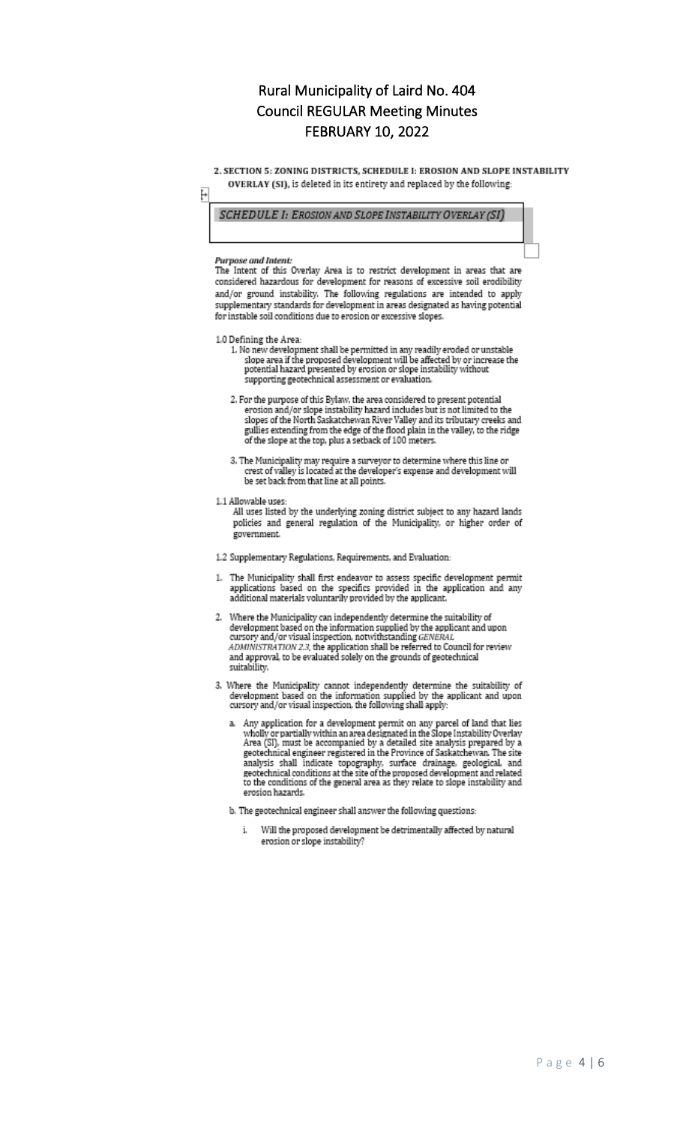2. SECTION 5: ZONING DISTRICTS, SCHEDULE I: EROSION AND SLOPE INSTABILITY OVERLAY (SI), is deleted in its entirety and replaced by the following:

ŀ

**SCHEDULE I: EROSION AND SLOPE INSTABILITY OVERLAY (SI)** 

#### Purpose and Intent:

The Intent of this Overlay Area is to restrict development in areas that are considered hazardous for development for reasons of excessive soil erodibility and/or ground instability. The following regulations are intended to apply supplementary standards for development in areas designated as having potential for instable soil conditions due to erosion or excessive slopes.

1.0 Defining the Area:

- 1. No new development shall be permitted in any readily eroded or unstable<br>slope area if the proposed development will be affected by or increase the<br>potential hazard presented by erosion or slope instability without<br>cumor supporting geotechnical assessment or evaluation.
- $2.$  For the purpose of this Bylaw, the area considered to present potential erosion and/or slope instability hazard includes but is not limited to the slopes of the North Saskatchewan River Valley and its tributary creeks and gullies extending from the edge of the flood plain in the valley, to the ridge of the slope at the top, plus a setback of 100 meters.
- 3. The Municipality may require a surveyor to determine where this line or crest of valley is located at the developer's expense and development will be set back from that line at all points.
- 
- 1.1 Allowable uses:<br>All uses listed by the underlying zoning district subject to any hazard lands<br>policies and general regulation of the Municipality, or higher order of government.
- 1.2 Supplementary Regulations, Requirements, and Evaluation:
- 1. The Municipality shall first endeavor to assess specific development permit applications based on the specifics provided in the application and any additional materials voluntarily provided by the applicant.
- 2. Where the Municipality can independently determine the suitability of development based on the information supplied by the applicant and upon cursory and/or visual inspection, notwithstanding  $\emph{GENERAL}$ ADMINISTRATION 2.3, the application shall be referred to Council for review<br>and approval, to be evaluated solely on the grounds of geotechnical suitability.
- 3. Where the Municipality cannot independently determine the suitability of development based on the information supplied by the applicant and upon cursory and/or visual inspection, the following shall apply:
	- a. Any application for a development permit on any parcel of land that lies wholly or partially within an area designated in the Slope Instability Overlay Area (SI), must be accompanied by a detailed site analysis prepare geotechnical engineer registered in the Province of Saskatchewan. The site analysis shall indicate topography, surface drainage, geological, and<br>geotechnical conditions at the site of the proposed development and related to the conditions of the general area as they relate to slope instability and erosion hazards.

b. The geotechnical engineer shall answer the following questions:

Will the proposed development be detrimentally affected by natural i. erosion or slope instability?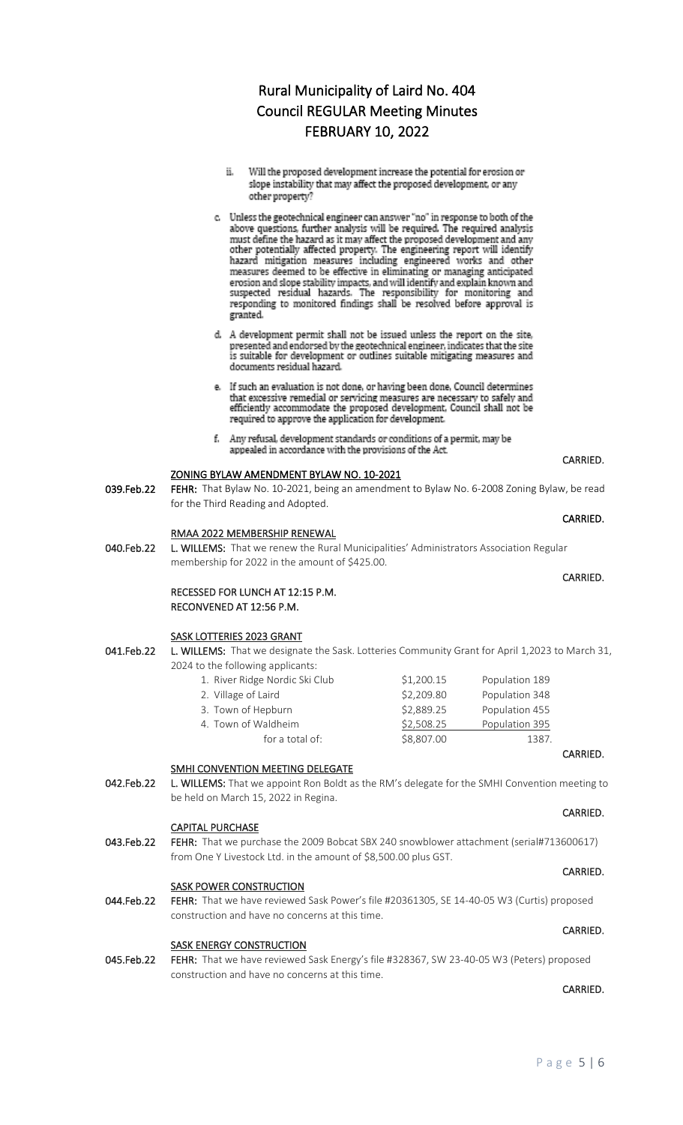- ii. Will the proposed development increase the potential for erosion or slope instability that may affect the proposed development, or any other property?
- c. Unless the geotechnical engineer can answer "no" in response to both of the above questions, further analysis will be required. The required analysis must define the hazard as it may affect the proposed development and any other potentially affected property. The engineering report will identify hazard mitigation measures including engineered works and other measures deemed to be effective in eliminating or managing anticipated erosion and slope stability impacts, and will identify and explain known and suspected residual hazards. The responsibility for monitoring and responding to monitored findings shall be resolved before approval is granted.
- d. A development permit shall not be issued unless the report on the site, presented and endorsed by the geotechnical engineer, indicates that the site is suitable for development or outlines suitable mitigating measures and documents residual hazard.
- e. If such an evaluation is not done, or having been done, Council determines that excessive remedial or servicing measures are necessary to safely and efficiently accommodate the proposed development, Council shall not be required to approve the application for development.
- f. Any refusal, development standards or conditions of a permit, may be appealed in accordance with the provisions of the Act.

# ZONING BYLAW AMENDMENT BYLAW NO. 10-2021

039.Feb.22 FEHR: That Bylaw No. 10-2021, being an amendment to Bylaw No. 6-2008 Zoning Bylaw, be read for the Third Reading and Adopted.

## RMAA 2022 MEMBERSHIP RENEWAL

040.Feb.22 L. WILLEMS: That we renew the Rural Municipalities' Administrators Association Regular membership for 2022 in the amount of \$425.00.

# RECESSED FOR LUNCH AT 12:15 P.M. RECONVENED AT 12:56 P.M.

## SASK LOTTERIES 2023 GRANT

041.Feb.22 L. WILLEMS: That we designate the Sask. Lotteries Community Grant for April 1,2023 to March 31, 2024 to the following applicants:

**CARRIED. CARRIED.** 

| 1. River Ridge Nordic Ski Club | \$1,200.15 | Population 189 |
|--------------------------------|------------|----------------|
| 2. Village of Laird            | \$2,209.80 | Population 348 |
| 3. Town of Hepburn             | \$2,889.25 | Population 455 |
| 4. Town of Waldheim            | \$2,508.25 | Population 395 |
| for a total of:                | \$8,807.00 | 1387.          |

# SMHI CONVENTION MEETING DELEGATE

042.Feb.22 L. WILLEMS: That we appoint Ron Boldt as the RM's delegate for the SMHI Convention meeting to be held on March 15, 2022 in Regina.

## CAPITAL PURCHASE

043.Feb.22 FEHR: That we purchase the 2009 Bobcat SBX 240 snowblower attachment (serial#713600617) from One Y Livestock Ltd. in the amount of \$8,500.00 plus GST.

# **SASK POWER CONSTRUCTION**

044.Feb.22 FEHR: That we have reviewed Sask Power's file #20361305, SE 14-40-05 W3 (Curtis) proposed construction and have no concerns at this time.

## SASK ENERGY CONSTRUCTION

045.Feb.22 FEHR: That we have reviewed Sask Energy's file #328367, SW 23-40-05 W3 (Peters) proposed construction and have no concerns at this time.

## CARRIED.

CARRIED.

# **CARRIED.** The contract of the contract of the contract of the contract of the contract of the contract of the contract of the contract of the contract of the contract of the contract of the contract of the contract of the

CARRIED.

# **CARRIED. CARRIED.**

CARRIED.

# CARRIED.